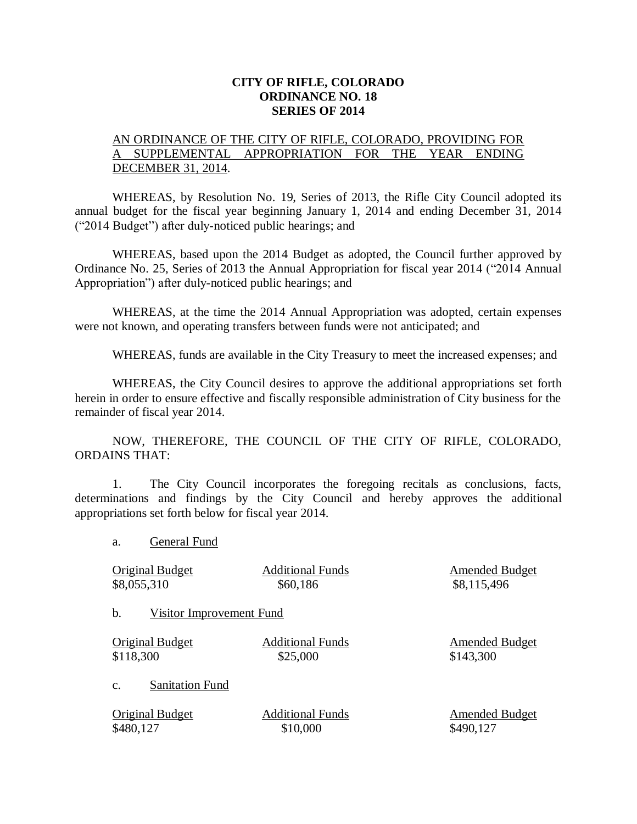## **CITY OF RIFLE, COLORADO ORDINANCE NO. 18 SERIES OF 2014**

## AN ORDINANCE OF THE CITY OF RIFLE, COLORADO, PROVIDING FOR A SUPPLEMENTAL APPROPRIATION FOR THE YEAR ENDING DECEMBER 31, 2014.

WHEREAS, by Resolution No. 19, Series of 2013, the Rifle City Council adopted its annual budget for the fiscal year beginning January 1, 2014 and ending December 31, 2014 ("2014 Budget") after duly-noticed public hearings; and

WHEREAS, based upon the 2014 Budget as adopted, the Council further approved by Ordinance No. 25, Series of 2013 the Annual Appropriation for fiscal year 2014 ("2014 Annual Appropriation") after duly-noticed public hearings; and

WHEREAS, at the time the 2014 Annual Appropriation was adopted, certain expenses were not known, and operating transfers between funds were not anticipated; and

WHEREAS, funds are available in the City Treasury to meet the increased expenses; and

WHEREAS, the City Council desires to approve the additional appropriations set forth herein in order to ensure effective and fiscally responsible administration of City business for the remainder of fiscal year 2014.

NOW, THEREFORE, THE COUNCIL OF THE CITY OF RIFLE, COLORADO, ORDAINS THAT:

1. The City Council incorporates the foregoing recitals as conclusions, facts, determinations and findings by the City Council and hereby approves the additional appropriations set forth below for fiscal year 2014.

a. General Fund

| <b>Original Budget</b>                   | <b>Additional Funds</b> | <b>Amended Budget</b> |
|------------------------------------------|-------------------------|-----------------------|
| \$8,055,310                              | \$60,186                | \$8,115,496           |
| b.<br><b>Visitor Improvement Fund</b>    |                         |                       |
| <b>Original Budget</b>                   | <b>Additional Funds</b> | <b>Amended Budget</b> |
| \$118,300                                | \$25,000                | \$143,300             |
| <b>Sanitation Fund</b><br>$\mathbf{c}$ . |                         |                       |
| <b>Original Budget</b>                   | <b>Additional Funds</b> | <b>Amended Budget</b> |
| \$480,127                                | \$10,000                | \$490,127             |